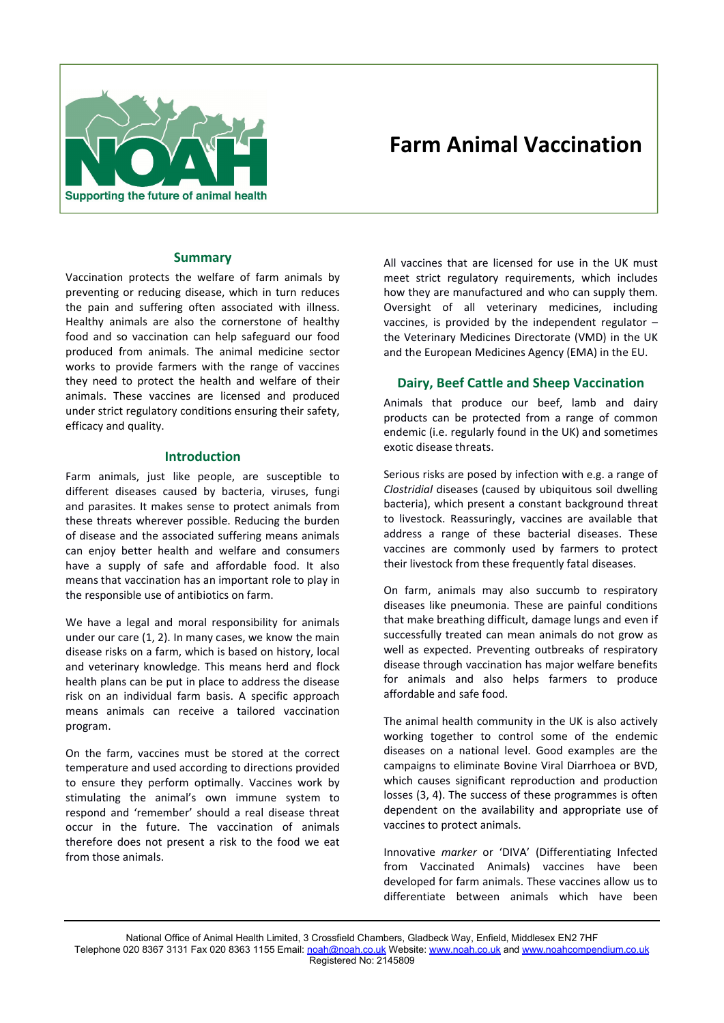

# **Farm Animal Vaccination**

#### **Summary**

Vaccination protects the welfare of farm animals by preventing or reducing disease, which in turn reduces the pain and suffering often associated with illness. Healthy animals are also the cornerstone of healthy food and so vaccination can help safeguard our food produced from animals. The animal medicine sector works to provide farmers with the range of vaccines they need to protect the health and welfare of their animals. These vaccines are licensed and produced under strict regulatory conditions ensuring their safety, efficacy and quality.

#### **Introduction**

Farm animals, just like people, are susceptible to different diseases caused by bacteria, viruses, fungi and parasites. It makes sense to protect animals from these threats wherever possible. Reducing the burden of disease and the associated suffering means animals can enjoy better health and welfare and consumers have a supply of safe and affordable food. It also means that vaccination has an important role to play in the responsible use of antibiotics on farm.

We have a legal and moral responsibility for animals under our care (1, 2). In many cases, we know the main disease risks on a farm, which is based on history, local and veterinary knowledge. This means herd and flock health plans can be put in place to address the disease risk on an individual farm basis. A specific approach means animals can receive a tailored vaccination program.

On the farm, vaccines must be stored at the correct temperature and used according to directions provided to ensure they perform optimally. Vaccines work by stimulating the animal's own immune system to respond and 'remember' should a real disease threat occur in the future. The vaccination of animals therefore does not present a risk to the food we eat from those animals.

All vaccines that are licensed for use in the UK must meet strict regulatory requirements, which includes how they are manufactured and who can supply them. Oversight of all veterinary medicines, including vaccines, is provided by the independent regulator  $$ the Veterinary Medicines Directorate (VMD) in the UK and the European Medicines Agency (EMA) in the EU.

# **Dairy, Beef Cattle and Sheep Vaccination**

Animals that produce our beef, lamb and dairy products can be protected from a range of common endemic (i.e. regularly found in the UK) and sometimes exotic disease threats.

Serious risks are posed by infection with e.g. a range of *Clostridial* diseases (caused by ubiquitous soil dwelling bacteria), which present a constant background threat to livestock. Reassuringly, vaccines are available that address a range of these bacterial diseases. These vaccines are commonly used by farmers to protect their livestock from these frequently fatal diseases.

On farm, animals may also succumb to respiratory diseases like pneumonia. These are painful conditions that make breathing difficult, damage lungs and even if successfully treated can mean animals do not grow as well as expected. Preventing outbreaks of respiratory disease through vaccination has major welfare benefits for animals and also helps farmers to produce affordable and safe food.

The animal health community in the UK is also actively working together to control some of the endemic diseases on a national level. Good examples are the campaigns to eliminate Bovine Viral Diarrhoea or BVD, which causes significant reproduction and production losses (3, 4). The success of these programmes is often dependent on the availability and appropriate use of vaccines to protect animals.

Innovative *marker* or 'DIVA' (Differentiating Infected from Vaccinated Animals) vaccines have been developed for farm animals. These vaccines allow us to differentiate between animals which have been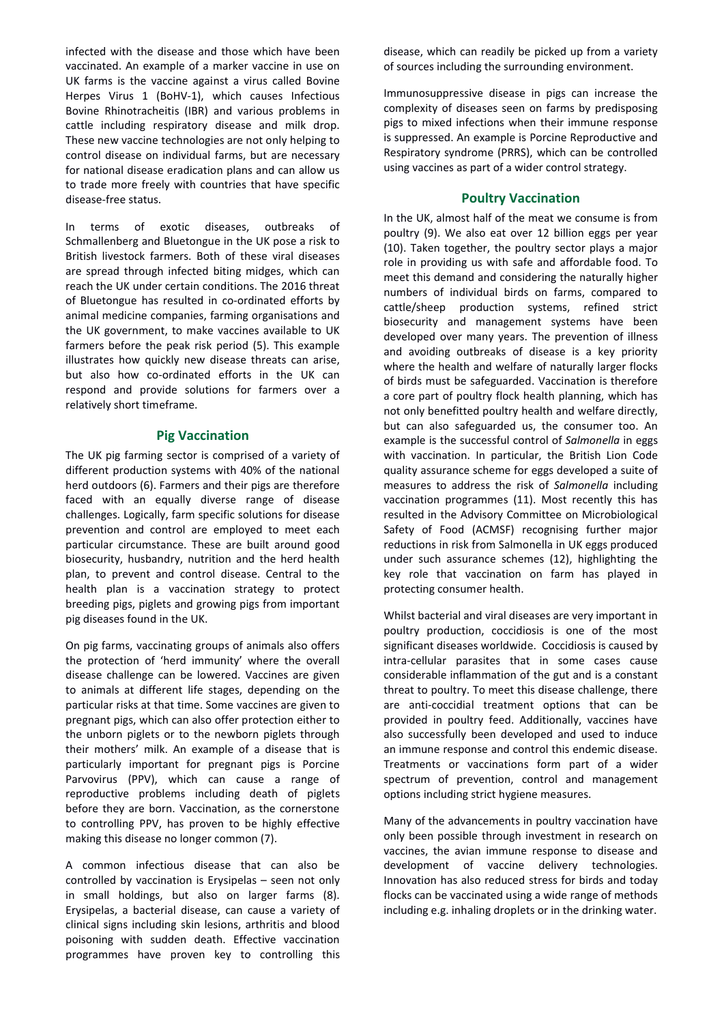infected with the disease and those which have been vaccinated. An example of a marker vaccine in use on UK farms is the vaccine against a virus called Bovine Herpes Virus 1 (BoHV-1), which causes Infectious Bovine Rhinotracheitis (IBR) and various problems in cattle including respiratory disease and milk drop. These new vaccine technologies are not only helping to control disease on individual farms, but are necessary for national disease eradication plans and can allow us to trade more freely with countries that have specific disease-free status.

In terms of exotic diseases, outbreaks of Schmallenberg and Bluetongue in the UK pose a risk to British livestock farmers. Both of these viral diseases are spread through infected biting midges, which can reach the UK under certain conditions. The 2016 threat of Bluetongue has resulted in co-ordinated efforts by animal medicine companies, farming organisations and the UK government, to make vaccines available to UK farmers before the peak risk period (5). This example illustrates how quickly new disease threats can arise, but also how co-ordinated efforts in the UK can respond and provide solutions for farmers over a relatively short timeframe.

#### **Pig Vaccination**

The UK pig farming sector is comprised of a variety of different production systems with 40% of the national herd outdoors (6). Farmers and their pigs are therefore faced with an equally diverse range of disease challenges. Logically, farm specific solutions for disease prevention and control are employed to meet each particular circumstance. These are built around good biosecurity, husbandry, nutrition and the herd health plan, to prevent and control disease. Central to the health plan is a vaccination strategy to protect breeding pigs, piglets and growing pigs from important pig diseases found in the UK.

On pig farms, vaccinating groups of animals also offers the protection of 'herd immunity' where the overall disease challenge can be lowered. Vaccines are given to animals at different life stages, depending on the particular risks at that time. Some vaccines are given to pregnant pigs, which can also offer protection either to the unborn piglets or to the newborn piglets through their mothers' milk. An example of a disease that is particularly important for pregnant pigs is Porcine Parvovirus (PPV), which can cause a range of reproductive problems including death of piglets before they are born. Vaccination, as the cornerstone to controlling PPV, has proven to be highly effective making this disease no longer common (7).

A common infectious disease that can also be controlled by vaccination is Erysipelas – seen not only in small holdings, but also on larger farms (8). Erysipelas, a bacterial disease, can cause a variety of clinical signs including skin lesions, arthritis and blood poisoning with sudden death. Effective vaccination programmes have proven key to controlling this disease, which can readily be picked up from a variety of sources including the surrounding environment.

Immunosuppressive disease in pigs can increase the complexity of diseases seen on farms by predisposing pigs to mixed infections when their immune response is suppressed. An example is Porcine Reproductive and Respiratory syndrome (PRRS), which can be controlled using vaccines as part of a wider control strategy.

# **Poultry Vaccination**

In the UK, almost half of the meat we consume is from poultry (9). We also eat over 12 billion eggs per year (10). Taken together, the poultry sector plays a major role in providing us with safe and affordable food. To meet this demand and considering the naturally higher numbers of individual birds on farms, compared to cattle/sheep production systems, refined strict biosecurity and management systems have been developed over many years. The prevention of illness and avoiding outbreaks of disease is a key priority where the health and welfare of naturally larger flocks of birds must be safeguarded. Vaccination is therefore a core part of poultry flock health planning, which has not only benefitted poultry health and welfare directly, but can also safeguarded us, the consumer too. An example is the successful control of *Salmonella* in eggs with vaccination. In particular, the British Lion Code quality assurance scheme for eggs developed a suite of measures to address the risk of *Salmonella* including vaccination programmes (11). Most recently this has resulted in the Advisory Committee on Microbiological Safety of Food (ACMSF) recognising further major reductions in risk from Salmonella in UK eggs produced under such assurance schemes (12), highlighting the key role that vaccination on farm has played in protecting consumer health.

Whilst bacterial and viral diseases are very important in poultry production, coccidiosis is one of the most significant diseases worldwide. Coccidiosis is caused by intra-cellular parasites that in some cases cause considerable inflammation of the gut and is a constant threat to poultry. To meet this disease challenge, there are anti-coccidial treatment options that can be provided in poultry feed. Additionally, vaccines have also successfully been developed and used to induce an immune response and control this endemic disease. Treatments or vaccinations form part of a wider spectrum of prevention, control and management options including strict hygiene measures.

Many of the advancements in poultry vaccination have only been possible through investment in research on vaccines, the avian immune response to disease and development of vaccine delivery technologies. Innovation has also reduced stress for birds and today flocks can be vaccinated using a wide range of methods including e.g. inhaling droplets or in the drinking water.